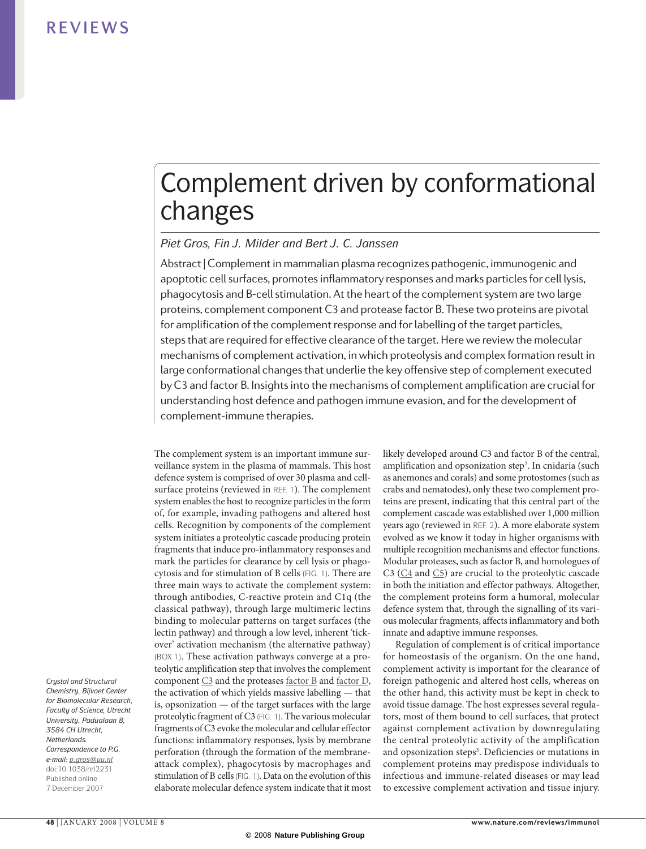# Complement driven by conformational changes

### *Piet Gros, Fin J. Milder and Bert J. C. Janssen*

Abstract | Complement in mammalian plasma recognizes pathogenic, immunogenic and apoptotic cell surfaces, promotes inflammatory responses and marks particles for cell lysis, phagocytosis and B‑cell stimulation. At the heart of the complement system are two large proteins, complement component C3 and protease factor B. These two proteins are pivotal for amplification of the complement response and for labelling of the target particles, steps that are required for effective clearance of the target. Here we review the molecular mechanisms of complement activation, in which proteolysis and complex formation result in large conformational changes that underlie the key offensive step of complement executed by C3 and factor B. Insights into the mechanisms of complement amplification are crucial for understanding host defence and pathogen immune evasion, and for the development of complement-immune therapies.

The complement system is an important immune surveillance system in the plasma of mammals. This host defence system is comprised of over 30 plasma and cellsurface proteins (reviewed in REF. 1). The complement system enables the host to recognize particles in the form of, for example, invading pathogens and altered host cells. Recognition by components of the complement system initiates a proteolytic cascade producing protein fragments that induce pro-inflammatory responses and mark the particles for clearance by cell lysis or phagocytosis and for stimulation of B cells (FIG. 1). There are three main ways to activate the complement system: through antibodies, C-reactive protein and C1q (the classical pathway), through large multimeric lectins binding to molecular patterns on target surfaces (the lectin pathway) and through a low level, inherent 'tickover' activation mechanism (the alternative pathway) (BOX 1). These activation pathways converge at a proteolytic amplification step that involves the complement component [C3](http://www.ncbi.nlm.nih.gov/sites/entrez?Db=gene&Cmd=ShowDetailView&TermToSearch=718&ordinalpos=1&itool=EntrezSystem2.PEntrez.Gene.Gene_ResultsPanel.Gene_RVDocSum) and the proteases [factor](http://www.ncbi.nlm.nih.gov/sites/entrez?Db=gene&Cmd=ShowDetailView&TermToSearch=629&ordinalpos=10&itool=EntrezSystem2.PEntrez.Gene.Gene_ResultsPanel.Gene_RVDocSum) B and [factor](http://www.ncbi.nlm.nih.gov/sites/entrez?Db=gene&Cmd=ShowDetailView&TermToSearch=1675&ordinalpos=1&itool=EntrezSystem2.PEntrez.Gene.Gene_ResultsPanel.Gene_RVDocSum) D, the activation of which yields massive labelling — that is, opsonization — of the target surfaces with the large proteolytic fragment of C3 (FIG. 1). The various molecular fragments of C3 evoke the molecular and cellular effector functions: inflammatory responses, lysis by membrane perforation (through the formation of the membraneattack complex), phagocytosis by macrophages and stimulation of B cells (FIG. 1). Data on the evolution of this elaborate molecular defence system indicate that it most likely developed around C3 and factor B of the central, amplification and opsonization step<sup>2</sup>. In cnidaria (such as anemones and corals) and some protostomes (such as crabs and nematodes), only these two complement proteins are present, indicating that this central part of the complement cascade was established over 1,000 million years ago (reviewed in Ref. 2). A more elaborate system evolved as we know it today in higher organisms with multiple recognition mechanisms and effector functions. Modular proteases, such as factor B, and homologues of C3 ([C4](http://www.ncbi.nlm.nih.gov/sites/entrez?Db=gene&Cmd=ShowDetailView&TermToSearch=720,721&ordinalpos=2&itool=EntrezSystem2.PEntrez.Gene.Gene_ResultsPanel.Gene_RVDocSum) and [C5\)](http://www.ncbi.nlm.nih.gov/sites/entrez?Db=gene&Cmd=ShowDetailView&TermToSearch=727&ordinalpos=5&itool=EntrezSystem2.PEntrez.Gene.Gene_ResultsPanel.Gene_RVDocSum) are crucial to the proteolytic cascade in both the initiation and effector pathways. Altogether, the complement proteins form a humoral, molecular defence system that, through the signalling of its various molecular fragments, affects inflammatory and both innate and adaptive immune responses.

Regulation of complement is of critical importance for homeostasis of the organism. On the one hand, complement activity is important for the clearance of foreign pathogenic and altered host cells, whereas on the other hand, this activity must be kept in check to avoid tissue damage. The host expresses several regulators, most of them bound to cell surfaces, that protect against complement activation by downregulating the central proteolytic activity of the amplification and opsonization steps<sup>3</sup>. Deficiencies or mutations in complement proteins may predispose individuals to infectious and immune-related diseases or may lead to excessive complement activation and tissue injury.

*Crystal and Structural Chemistry, Bijvoet Center for Biomolecular Research, Faculty of Science, Utrecht University, Padualaan 8, 3584 CH Utrecht, Netherlands. Correspondence to P.G. e‑mail: [p.gros@uu.nl](mailto:p.gros@uu.nl)* doi:10.1038/nri2231 Published online 7 December 2007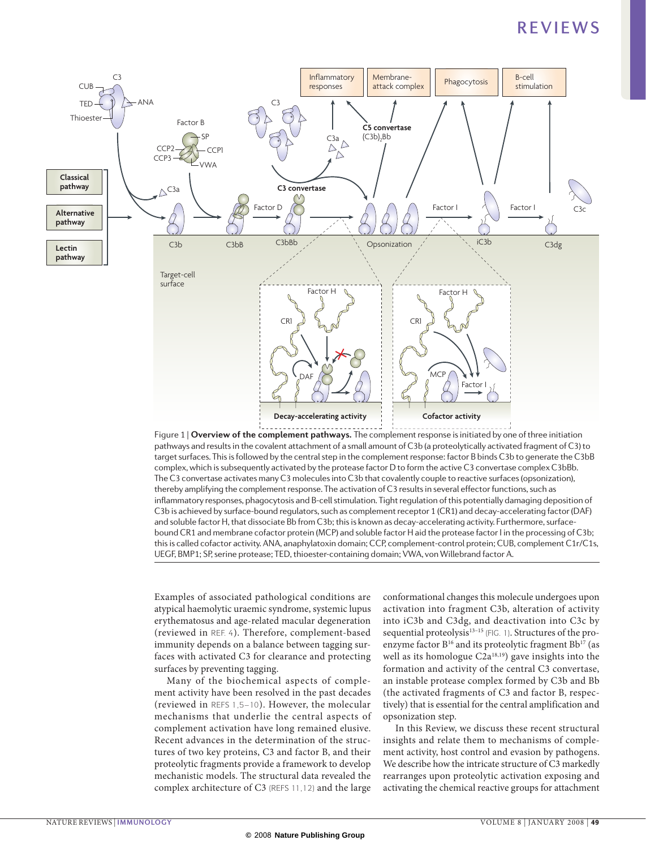

**Nature Reviews** | **Immunology** pathways and results in the covalent attachment of a small amount of C3b (a proteolytically activated fragment of C3) to target surfaces. This is followed by the central step in the complement response: factor B binds C3b to generate the C3bB complex, which is subsequently activated by the protease factor D to form the active C3 convertase complex C3bBb. The C3 convertase activates many C3 molecules into C3b that covalently couple to reactive surfaces (opsonization), thereby amplifying the complement response. The activation of C3 results in several effector functions, such as inflammatory responses, phagocytosis and B‑cell stimulation. Tight regulation of this potentially damaging deposition of C3b is achieved by surface-bound regulators, such as complement receptor 1 (CR1) and decay-accelerating factor (DAF) and soluble factor H, that dissociate Bb from C3b; this is known as decay-accelerating activity. Furthermore, surfacebound CR1 and membrane cofactor protein (MCP) and soluble factor H aid the protease factor I in the processing of C3b; this is called cofactor activity. ANA, anaphylatoxin domain; CCP, complement-control protein; CUB, complement C1r/C1s, UEGF, BMP1; SP, serine protease; TED, thioester-containing domain; VWA, von Willebrand factor A.

Examples of associated pathological conditions are atypical haemolytic uraemic syndrome, systemic lupus erythematosus and age-related macular degeneration (reviewed in Ref. 4). Therefore, complement-based immunity depends on a balance between tagging surfaces with activated C3 for clearance and protecting surfaces by preventing tagging.

Many of the biochemical aspects of complement activity have been resolved in the past decades (reviewed in Refs 1,5–10). However, the molecular mechanisms that underlie the central aspects of complement activation have long remained elusive. Recent advances in the determination of the structures of two key proteins, C3 and factor B, and their proteolytic fragments provide a framework to develop mechanistic models. The structural data revealed the complex architecture of C3 (Refs 11,12) and the large conformational changes this molecule undergoes upon activation into fragment C3b, alteration of activity into iC3b and C3dg, and deactivation into C3c by sequential proteolysis<sup>13-15</sup> (FIG. 1). Structures of the proenzyme factor  $B^{16}$  and its proteolytic fragment  $Bb^{17}$  (as well as its homologue C2a<sup>18,19</sup>) gave insights into the formation and activity of the central C3 convertase, an instable protease complex formed by C3b and Bb (the activated fragments of C3 and factor B, respectively) that is essential for the central amplification and opsonization step.

In this Review, we discuss these recent structural insights and relate them to mechanisms of complement activity, host control and evasion by pathogens. We describe how the intricate structure of C3 markedly rearranges upon proteolytic activation exposing and activating the chemical reactive groups for attachment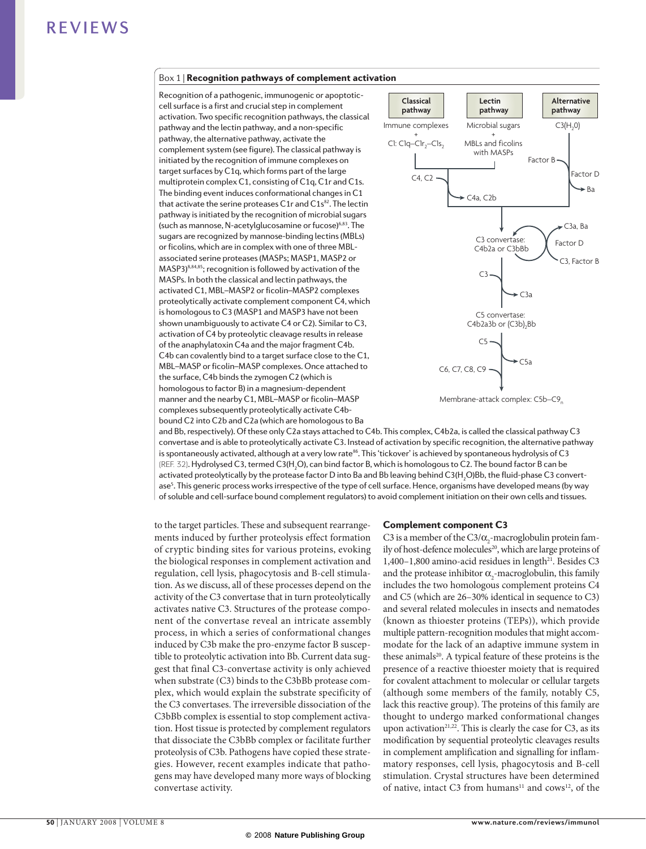### Box 1 | Recognition pathways of complement activation

Recognition of a pathogenic, immunogenic or apoptoticcell surface is a first and crucial step in complement activation. Two specific recognition pathways, the classical pathway and the lectin pathway, and a non-specific pathway, the alternative pathway, activate the complement system (see figure). The classical pathway is initiated by the recognition of immune complexes on target surfaces by C1q, which forms part of the large multiprotein complex C1, consisting of C1q, C1r and C1s. The binding event induces conformational changes in C1 that activate the serine proteases  $C1r$  and  $C1s<sup>82</sup>$ . The lectin pathway is initiated by the recognition of microbial sugars (such as mannose, N-acetylglucosamine or fucose)6,83. The sugars are recognized by mannose-binding lectins (MBLs) or ficolins, which are in complex with one of three MBLassociated serine proteases (MASPs; MASP1, MASP2 or MASP3)8,84,85; recognition is followed by activation of the MASPs. In both the classical and lectin pathways, the activated C1, MBL–MASP2 or ficolin–MASP2 complexes proteolytically activate complement component C4, which is homologous to C3 (MASP1 and MASP3 have not been shown unambiguously to activate C4 or C2). Similar to C3, activation of C4 by proteolytic cleavage results in release of the anaphylatoxin C4a and the major fragment C4b. C4b can covalently bind to a target surface close to the C1, MBL–MASP or ficolin–MASP complexes. Once attached to the surface, C4b binds the zymogen C2 (which is homologous to factor B) in a magnesium-dependent manner and the nearby C1, MBL–MASP or ficolin–MASP complexes subsequently proteolytically activate C4bbound C2 into C2b and C2a (which are homologous to Ba



and Bb, respectively). Of these only C2a stays attached to C4b. This complex, C4b2a, is called the classical pathway C3 convertase and is able to proteolytically activate C3. Instead of activation by specific recognition, the alternative pathway is spontaneously activated, although at a very low rate<sup>86</sup>. This 'tickover' is achieved by spontaneous hydrolysis of C3 (REF. 32). Hydrolysed C3, termed C3(H<sub>2</sub>O), can bind factor B, which is homologous to C2. The bound factor B can be activated proteolytically by the protease factor D into Ba and Bb leaving behind C3(H<sub>2</sub>O)Bb, the fluid-phase C3 convertase<sup>5</sup>. This generic process works irrespective of the type of cell surface. Hence, organisms have developed means (by way of soluble and cell-surface bound complement regulators) to avoid complement initiation on their own cells and tissues.

to the target particles. These and subsequent rearrangements induced by further proteolysis effect formation of cryptic binding sites for various proteins, evoking the biological responses in complement activation and regulation, cell lysis, phagocytosis and B-cell stimulation. As we discuss, all of these processes depend on the activity of the C3 convertase that in turn proteolytically activates native C3. Structures of the protease component of the convertase reveal an intricate assembly process, in which a series of conformational changes induced by C3b make the pro-enzyme factor B susceptible to proteolytic activation into Bb. Current data suggest that final C3-convertase activity is only achieved when substrate (C3) binds to the C3bBb protease complex, which would explain the substrate specificity of the C3 convertases. The irreversible dissociation of the C3bBb complex is essential to stop complement activation. Host tissue is protected by complement regulators that dissociate the C3bBb complex or facilitate further proteolysis of C3b. Pathogens have copied these strategies. However, recent examples indicate that pathogens may have developed many more ways of blocking convertase activity.

### Complement component C3

C3 is a member of the C3/ $\alpha$ <sub>2</sub>-macroglobulin protein family of host-defence molecules<sup>20</sup>, which are large proteins of 1,400-1,800 amino-acid residues in length<sup>21</sup>. Besides C3 and the protease inhibitor  $\alpha$ <sub>2</sub>-macroglobulin, this family includes the two homologous complement proteins C4 and C5 (which are 26–30% identical in sequence to C3) and several related molecules in insects and nematodes (known as thioester proteins (TEPs)), which provide multiple pattern-recognition modules that might accommodate for the lack of an adaptive immune system in these animals<sup>20</sup>. A typical feature of these proteins is the presence of a reactive thioester moiety that is required for covalent attachment to molecular or cellular targets (although some members of the family, notably C5, lack this reactive group). The proteins of this family are thought to undergo marked conformational changes upon activation<sup>21,22</sup>. This is clearly the case for C3, as its modification by sequential proteolytic cleavages results in complement amplification and signalling for inflammatory responses, cell lysis, phagocytosis and B-cell stimulation. Crystal structures have been determined of native, intact C3 from humans<sup>11</sup> and cows<sup>12</sup>, of the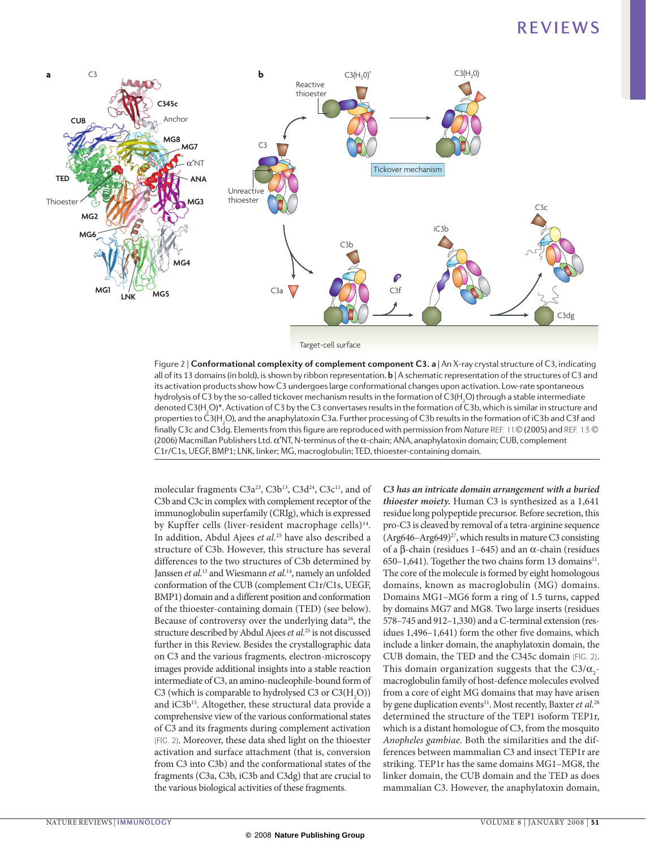

Target-cell surface

**Nature Reviews** | **Immunology**  Figure 2 | **Conformational complexity of complement component C3. a** | An X‑ray crystal structure of C3, indicating all of its 13 domains (in bold), is shown by ribbon representation. **b** | A schematic representation of the structures of C3 and its activation products show how C3 undergoes large conformational changes upon activation. Low-rate spontaneous hydrolysis of C3 by the so-called tickover mechanism results in the formation of C3(H<sub>2</sub>O) through a stable intermediate denoted C3(H<sub>2</sub>O)\*. Activation of C3 by the C3 convertases results in the formation of C3b, which is similar in structure and properties to C3(H<sub>2</sub>O), and the anaphylatoxin C3a. Further processing of C3b results in the formation of iC3b and C3f and finally C3c and C3dg. Elements from this figure are reproduced with permission from *Nature* REF. 11 (2005) and REF. 13 (2006) Macmillan Publishers Ltd. α′NT, N‑terminus of the α‑chain; ANA, anaphylatoxin domain; CUB, complement C1r/C1s, UEGF, BMP1; LNK, linker; MG, macroglobulin; TED, thioester-containing domain.

molecular fragments C3a<sup>23</sup>, C3b<sup>13</sup>, C3d<sup>24</sup>, C3c<sup>11</sup>, and of C3b and C3c in complex with complement receptor of the immunoglobulin superfamily (CRIg), which is expressed by Kupffer cells (liver-resident macrophage cells)<sup>14</sup>. In addition, Abdul Ajees *et al.*25 have also described a structure of C3b. However, this structure has several differences to the two structures of C3b determined by Janssen *et al.*13 and Wiesmann *et al.*14, namely an unfolded conformation of the CUB (complement C1r/C1s, UEGF, BMP1) domain and a different position and conformation of the thioester-containing domain (TED) (see below). Because of controversy over the underlying data<sup>26</sup>, the structure described by Abdul Ajees *et al.*25 is not discussed further in this Review. Besides the crystallographic data on C3 and the various fragments, electron-microscopy images provide additional insights into a stable reaction intermediate of C3, an amino-nucleophile-bound form of C3 (which is comparable to hydrolysed C3 or  $C3(H_2O)$ ) and iC3b<sup>15</sup>. Altogether, these structural data provide a comprehensive view of the various conformational states of C3 and its fragments during complement activation (FIG. 2). Moreover, these data shed light on the thioester activation and surface attachment (that is, conversion from C3 into C3b) and the conformational states of the fragments (C3a, C3b, iC3b and C3dg) that are crucial to the various biological activities of these fragments.

*C3 has an intricate domain arrangement with a buried thioester moiety.* Human C3 is synthesized as a 1,641 residue long polypeptide precursor. Before secretion, this pro-C3 is cleaved by removal of a tetra-arginine sequence  $(Arg646-Arg649)<sup>27</sup>$ , which results in mature C3 consisting of a β-chain (residues 1–645) and an α-chain (residues 650–1,641). Together the two chains form 13 domains<sup>11</sup>. The core of the molecule is formed by eight homologous domains, known as macroglobulin (MG) domains. Domains MG1–MG6 form a ring of 1.5 turns, capped by domains MG7 and MG8. Two large inserts (residues 578–745 and 912–1,330) and a C-terminal extension (residues 1,496–1,641) form the other five domains, which include a linker domain, the anaphylatoxin domain, the CUB domain, the TED and the C345c domain (FIG. 2). This domain organization suggests that the  $C3/\alpha_2$ macroglobulin family of host-defence molecules evolved from a core of eight MG domains that may have arisen by gene duplication events<sup>11</sup>. Most recently, Baxter *et al.*<sup>28</sup> determined the structure of the TEP1 isoform TEP1r, which is a distant homologue of C3, from the mosquito *Anopheles gambiae*. Both the similarities and the differences between mammalian C3 and insect TEP1r are striking. TEP1r has the same domains MG1–MG8, the linker domain, the CUB domain and the TED as does mammalian C3. However, the anaphylatoxin domain,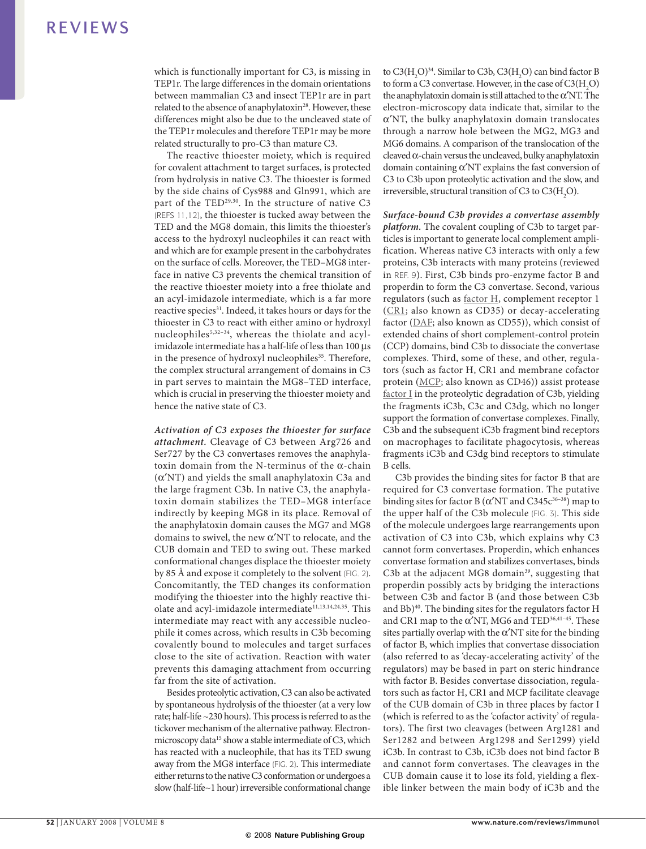which is functionally important for C3, is missing in TEP1r. The large differences in the domain orientations between mammalian C3 and insect TEP1r are in part related to the absence of anaphylatoxin<sup>28</sup>. However, these differences might also be due to the uncleaved state of the TEP1r molecules and therefore TEP1r may be more related structurally to pro-C3 than mature C3.

The reactive thioester moiety, which is required for covalent attachment to target surfaces, is protected from hydrolysis in native C3. The thioester is formed by the side chains of Cys988 and Gln991, which are part of the TED<sup>29,30</sup>. In the structure of native C3 (Refs 11,12), the thioester is tucked away between the TED and the MG8 domain, this limits the thioester's access to the hydroxyl nucleophiles it can react with and which are for example present in the carbohydrates on the surface of cells. Moreover, the TED–MG8 interface in native C3 prevents the chemical transition of the reactive thioester moiety into a free thiolate and an acyl-imidazole intermediate, which is a far more reactive species<sup>31</sup>. Indeed, it takes hours or days for the thioester in C3 to react with either amino or hydroxyl nucleophiles<sup>5,32-34</sup>, whereas the thiolate and acylimidazole intermediate has a half-life of less than 100 µs in the presence of hydroxyl nucleophiles<sup>35</sup>. Therefore, the complex structural arrangement of domains in C3 in part serves to maintain the MG8–TED interface, which is crucial in preserving the thioester moiety and hence the native state of C3.

*Activation of C3 exposes the thioester for surface attachment.* Cleavage of C3 between Arg726 and Ser727 by the C3 convertases removes the anaphylatoxin domain from the N-terminus of the  $\alpha$ -chain (α′NT) and yields the small anaphylatoxin C3a and the large fragment C3b. In native C3, the anaphylatoxin domain stabilizes the TED–MG8 interface indirectly by keeping MG8 in its place. Removal of the anaphylatoxin domain causes the MG7 and MG8 domains to swivel, the new α′NT to relocate, and the CUB domain and TED to swing out. These marked conformational changes displace the thioester moiety by 85 Å and expose it completely to the solvent (FIG. 2). Concomitantly, the TED changes its conformation modifying the thioester into the highly reactive thiolate and acyl-imidazole intermediate<sup>11,13,14,24,35</sup>. This intermediate may react with any accessible nucleophile it comes across, which results in C3b becoming covalently bound to molecules and target surfaces close to the site of activation. Reaction with water prevents this damaging attachment from occurring far from the site of activation.

Besides proteolytic activation, C3 can also be activated by spontaneous hydrolysis of the thioester (at a very low rate; half-life ~230 hours). This process is referred to as the tickover mechanism of the alternative pathway. Electronmicroscopy data<sup>15</sup> show a stable intermediate of C3, which has reacted with a nucleophile, that has its TED swung away from the MG8 interface (FIG. 2). This intermediate either returns to the native C3 conformation or undergoes a slow (half-life~1 hour) irreversible conformational change

to  $C3(H_2O)^{34}$ . Similar to C3b,  $C3(H_2O)$  can bind factor B to form a C3 convertase. However, in the case of  $C3(H_2O)$ the anaphylatoxin domain is still attached to the  $\alpha'NT$ . The electron-microscopy data indicate that, similar to the α′NT, the bulky anaphylatoxin domain translocates through a narrow hole between the MG2, MG3 and MG6 domains. A comparison of the translocation of the cleaved  $\alpha$ -chain versus the uncleaved, bulky anaphylatoxin domain containing α′NT explains the fast conversion of C3 to C3b upon proteolytic activation and the slow, and irreversible, structural transition of C3 to  $C3(H_2O)$ .

*Surface-bound C3b provides a convertase assembly platform.* The covalent coupling of C3b to target particles is important to generate local complement amplification. Whereas native C3 interacts with only a few proteins, C3b interacts with many proteins (reviewed in Ref. 9). First, C3b binds pro-enzyme factor B and properdin to form the C3 convertase. Second, various regulators (such as [factor](http://www.ncbi.nlm.nih.gov/sites/entrez?Db=gene&Cmd=ShowDetailView&TermToSearch=3075&ordinalpos=1&itool=EntrezSystem2.PEntrez.Gene.Gene_ResultsPanel.Gene_RVDocSum) H, complement receptor 1 ([CR1;](http://www.ncbi.nlm.nih.gov/sites/entrez?Db=gene&Cmd=ShowDetailView&TermToSearch=1378&ordinalpos=1&itool=EntrezSystem2.PEntrez.Gene.Gene_ResultsPanel.Gene_RVDocSum) also known as CD35) or decay-accelerating factor ([DAF;](http://www.ncbi.nlm.nih.gov/sites/entrez?Db=gene&Cmd=ShowDetailView&TermToSearch=1604&ordinalpos=1&itool=EntrezSystem2.PEntrez.Gene.Gene_ResultsPanel.Gene_RVDocSum) also known as CD55)), which consist of extended chains of short complement-control protein (CCP) domains, bind C3b to dissociate the convertase complexes. Third, some of these, and other, regulators (such as factor H, CR1 and membrane cofactor protein ([MCP](http://www.ncbi.nlm.nih.gov/sites/entrez?Db=gene&Cmd=ShowDetailView&TermToSearch=4179&ordinalpos=1&itool=EntrezSystem2.PEntrez.Gene.Gene_ResultsPanel.Gene_RVDocSum); also known as CD46)) assist protease [factor](http://www.ncbi.nlm.nih.gov/sites/entrez?Db=gene&Cmd=ShowDetailView&TermToSearch=3426&ordinalpos=2&itool=EntrezSystem2.PEntrez.Gene.Gene_ResultsPanel.Gene_RVDocSum) I in the proteolytic degradation of C3b, yielding the fragments iC3b, C3c and C3dg, which no longer support the formation of convertase complexes. Finally, C3b and the subsequent iC3b fragment bind receptors on macrophages to facilitate phagocytosis, whereas fragments iC3b and C3dg bind receptors to stimulate B cells.

C3b provides the binding sites for factor B that are required for C3 convertase formation. The putative binding sites for factor B ( $\alpha'NT$  and C345 $c^{36-38}$ ) map to the upper half of the C3b molecule (FIG. 3). This side of the molecule undergoes large rearrangements upon activation of C3 into C3b, which explains why C3 cannot form convertases. Properdin, which enhances convertase formation and stabilizes convertases, binds C3b at the adjacent MG8 domain<sup>39</sup>, suggesting that properdin possibly acts by bridging the interactions between C3b and factor B (and those between C3b and Bb)<sup>40</sup>. The binding sites for the regulators factor H and CR1 map to the  $\alpha'NT$ , MG6 and TED<sup>36,41-45</sup>. These sites partially overlap with the  $\alpha'NT$  site for the binding of factor B, which implies that convertase dissociation (also referred to as 'decay-accelerating activity' of the regulators) may be based in part on steric hindrance with factor B. Besides convertase dissociation, regulators such as factor H, CR1 and MCP facilitate cleavage of the CUB domain of C3b in three places by factor I (which is referred to as the 'cofactor activity' of regulators). The first two cleavages (between Arg1281 and Ser1282 and between Arg1298 and Ser1299) yield iC3b. In contrast to C3b, iC3b does not bind factor B and cannot form convertases. The cleavages in the CUB domain cause it to lose its fold, yielding a flexible linker between the main body of iC3b and the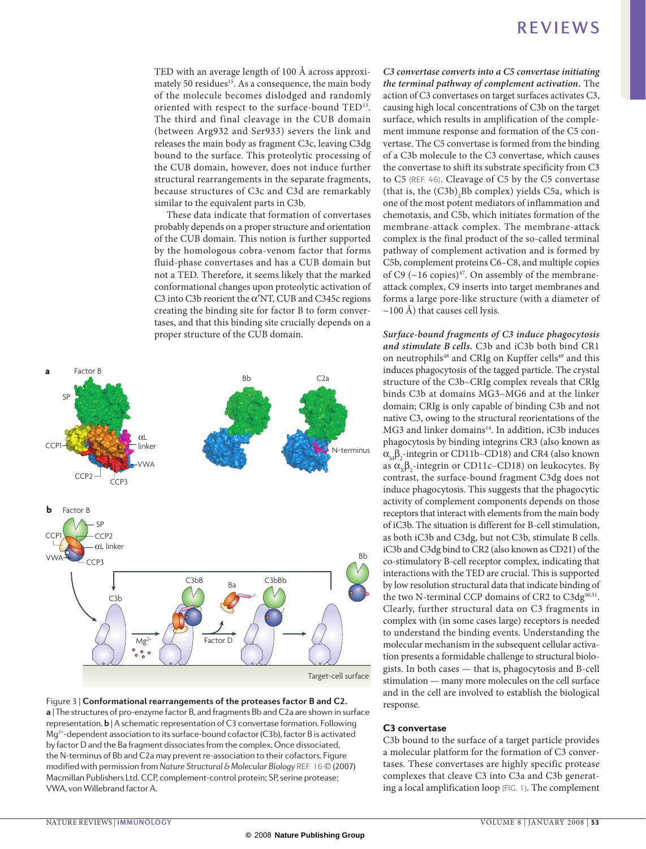TED with an average length of 100 Å across approximately 50 residues<sup>15</sup>. As a consequence, the main body of the molecule becomes dislodged and randomly oriented with respect to the surface-bound TED15. The third and final cleavage in the CUB domain (between Arg932 and Ser933) severs the link and releases the main body as fragment C3c, leaving C3dg bound to the surface. This proteolytic processing of the CUB domain, however, does not induce further structural rearrangements in the separate fragments, because structures of C3c and C3d are remarkably similar to the equivalent parts in C3b.

These data indicate that formation of convertases probably depends on a proper structure and orientation of the CUB domain. This notion is further supported by the homologous cobra-venom factor that forms fluid-phase convertases and has a CUB domain but not a TED. Therefore, it seems likely that the marked conformational changes upon proteolytic activation of C3 into C3b reorient the α′NT, CUB and C345c regions creating the binding site for factor B to form convertases, and that this binding site crucially depends on a proper structure of the CUB domain.



**a** | The structures of pro-enzyme factor B, and fragments Bb and C2a are shown in surface Figure 3 | **Conformational rearrangements of the proteases factor B and C2.** 

representation. **b** | A schematic representation of C3 convertase formation. Following Mg<sup>2+</sup>-dependent association to its surface-bound cofactor (C3b), factor B is activated by factor D and the Ba fragment dissociates from the complex. Once dissociated, the N-terminus of Bb and C2a may prevent re-association to their cofactors. Figure modified with permission from *Nature Structural & Molecular Biology* REF. 16 © (2007) Macmillan Publishers Ltd. CCP, complement-control protein; SP, serine protease; VWA, von Willebrand factor A.

*C3 convertase converts into a C5 convertase initiating the terminal pathway of complement activation.* The action of C3 convertases on target surfaces activates C3, causing high local concentrations of C3b on the target surface, which results in amplification of the complement immune response and formation of the C5 convertase. The C5 convertase is formed from the binding of a C3b molecule to the C3 convertase, which causes the convertase to shift its substrate specificity from C3 to C5 (Ref. 46). Cleavage of C5 by the C5 convertase (that is, the  $(C3b)$ <sub>2</sub>Bb complex) yields C5a, which is one of the most potent mediators of inflammation and chemotaxis, and C5b, which initiates formation of the membrane-attack complex. The membrane-attack complex is the final product of the so-called terminal pathway of complement activation and is formed by C5b, complement proteins C6–C8, and multiple copies of C9 ( $\sim$ 16 copies)<sup>47</sup>. On assembly of the membraneattack complex, C9 inserts into target membranes and forms a large pore-like structure (with a diameter of  $\sim$ 100 Å) that causes cell lysis.

*Surface-bound fragments of C3 induce phagocytosis and stimulate B cells.* C3b and iC3b both bind CR1 on neutrophils<sup>48</sup> and CRIg on Kupffer cells<sup>49</sup> and this induces phagocytosis of the tagged particle. The crystal structure of the C3b–CRIg complex reveals that CRIg binds C3b at domains MG3–MG6 and at the linker domain; CRIg is only capable of binding C3b and not native C3, owing to the structural reorientations of the MG3 and linker domains<sup>14</sup>. In addition, iC3b induces phagocytosis by binding integrins CR3 (also known as  $\alpha_{\text{M}}\beta_2$ -integrin or CD11b–CD18) and CR4 (also known as  $\alpha_{x}\beta_{2}$ -integrin or CD11c–CD18) on leukocytes. By contrast, the surface-bound fragment C3dg does not induce phagocytosis. This suggests that the phagocytic activity of complement components depends on those receptors that interact with elements from the main body of iC3b. The situation is different for B-cell stimulation, as both iC3b and C3dg, but not C3b, stimulate B cells. iC3b and C3dg bind to CR2 (also known as CD21) of the co-stimulatory B-cell receptor complex, indicating that interactions with the TED are crucial. This is supported by low resolution structural data that indicate binding of the two N-terminal CCP domains of CR2 to C3dg<sup>50,51</sup>. Clearly, further structural data on C3 fragments in complex with (in some cases large) receptors is needed to understand the binding events. Understanding the molecular mechanism in the subsequent cellular activation presents a formidable challenge to structural biologists. In both cases — that is, phagocytosis and B-cell stimulation — many more molecules on the cell surface and in the cell are involved to establish the biological response.

### C3 convertase

C3b bound to the surface of a target particle provides a molecular platform for the formation of C3 convertases. These convertases are highly specific protease complexes that cleave C3 into C3a and C3b generating a local amplification loop (FIG. 1). The complement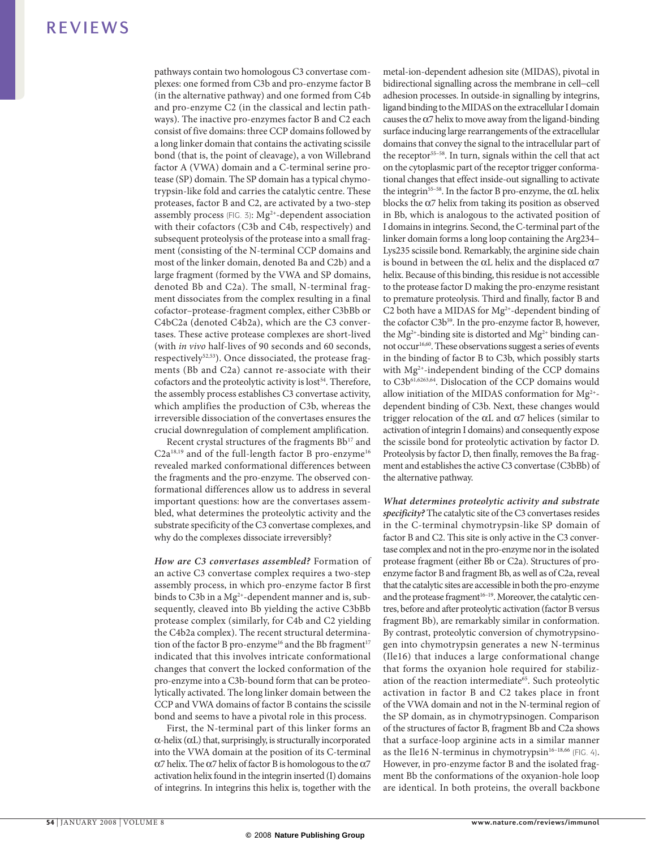pathways contain two homologous C3 convertase complexes: one formed from C3b and pro-enzyme factor B (in the alternative pathway) and one formed from C4b and pro-enzyme C2 (in the classical and lectin pathways). The inactive pro-enzymes factor B and C2 each consist of five domains: three CCP domains followed by a long linker domain that contains the activating scissile bond (that is, the point of cleavage), a von Willebrand factor A (VWA) domain and a C-terminal serine protease (SP) domain. The SP domain has a typical chymotrypsin-like fold and carries the catalytic centre. These proteases, factor B and C2, are activated by a two-step assembly process (FIG. 3):  $Mg^{2+}$ -dependent association with their cofactors (C3b and C4b, respectively) and subsequent proteolysis of the protease into a small fragment (consisting of the N‑terminal CCP domains and most of the linker domain, denoted Ba and C2b) and a large fragment (formed by the VWA and SP domains, denoted Bb and C2a). The small, N-terminal fragment dissociates from the complex resulting in a final cofactor–protease-fragment complex, either C3bBb or C4bC2a (denoted C4b2a), which are the C3 convertases. These active protease complexes are short-lived (with *in vivo* half-lives of 90 seconds and 60 seconds, respectively<sup>52,53</sup>). Once dissociated, the protease fragments (Bb and C2a) cannot re-associate with their cofactors and the proteolytic activity is lost<sup>54</sup>. Therefore, the assembly process establishes C3 convertase activity, which amplifies the production of C3b, whereas the irreversible dissociation of the convertases ensures the crucial downregulation of complement amplification.

Recent crystal structures of the fragments Bb<sup>17</sup> and C2a<sup>18,19</sup> and of the full-length factor B pro-enzyme<sup>16</sup> revealed marked conformational differences between the fragments and the pro-enzyme. The observed conformational differences allow us to address in several important questions: how are the convertases assembled, what determines the proteolytic activity and the substrate specificity of the C3 convertase complexes, and why do the complexes dissociate irreversibly?

*How are C3 convertases assembled?* Formation of an active C3 convertase complex requires a two-step assembly process, in which pro-enzyme factor B first binds to C3b in a  $Mg^{2+}$ -dependent manner and is, subsequently, cleaved into Bb yielding the active C3bBb protease complex (similarly, for C4b and C2 yielding the C4b2a complex). The recent structural determination of the factor B pro-enzyme<sup>16</sup> and the Bb fragment<sup>17</sup> indicated that this involves intricate conformational changes that convert the locked conformation of the pro-enzyme into a C3b-bound form that can be proteolytically activated. The long linker domain between the CCP and VWA domains of factor B contains the scissile bond and seems to have a pivotal role in this process.

First, the N-terminal part of this linker forms an  $\alpha$ -helix ( $\alpha$ L) that, surprisingly, is structurally incorporated into the VWA domain at the position of its C-terminal  $\alpha$ 7 helix. The  $\alpha$ 7 helix of factor B is homologous to the  $\alpha$ 7 activation helix found in the integrin inserted (I) domains of integrins. In integrins this helix is, together with the metal-ion-dependent adhesion site (MIDAS), pivotal in bidirectional signalling across the membrane in cell−cell adhesion processes. In outside-in signalling by integrins, ligand binding to the MIDAS on the extracellular I domain causes the  $\alpha$ 7 helix to move away from the ligand-binding surface inducing large rearrangements of the extracellular domains that convey the signal to the intracellular part of the receptor<sup>55–58</sup>. In turn, signals within the cell that act on the cytoplasmic part of the receptor trigger conformational changes that effect inside-out signalling to activate the integrin55–58. In the factor B pro-enzyme, the αL helix blocks the  $\alpha$ 7 helix from taking its position as observed in Bb, which is analogous to the activated position of I domains in integrins. Second, the C-terminal part of the linker domain forms a long loop containing the Arg234– Lys235 scissile bond. Remarkably, the arginine side chain is bound in between the αL helix and the displaced  $α7$ helix. Because of this binding, this residue is not accessible to the protease factor D making the pro-enzyme resistant to premature proteolysis. Third and finally, factor B and C2 both have a MIDAS for Mg<sup>2+</sup>-dependent binding of the cofactor C3b<sup>59</sup>. In the pro-enzyme factor B, however, the Mg<sup>2+</sup>-binding site is distorted and Mg<sup>2+</sup> binding cannot occur<sup>16,60</sup>. These observations suggest a series of events in the binding of factor B to C3b, which possibly starts with Mg2+-independent binding of the CCP domains to C3b<sup>61,6263,64</sup>. Dislocation of the CCP domains would allow initiation of the MIDAS conformation for  $Mg^{2+}$ dependent binding of C3b. Next, these changes would trigger relocation of the αL and  $α7$  helices (similar to activation of integrin I domains) and consequently expose the scissile bond for proteolytic activation by factor D. Proteolysis by factor D, then finally, removes the Ba fragment and establishes the active C3 convertase (C3bBb) of the alternative pathway.

*What determines proteolytic activity and substrate specificity?* The catalytic site of the C3 convertases resides in the C-terminal chymotrypsin-like SP domain of factor B and C2. This site is only active in the C3 convertase complex and not in the pro-enzyme nor in the isolated protease fragment (either Bb or C2a). Structures of proenzyme factor B and fragment Bb, as well as of C2a, reveal that the catalytic sites are accessible in both the pro-enzyme and the protease fragment<sup>16–19</sup>. Moreover, the catalytic centres, before and after proteolytic activation (factor B versus fragment Bb), are remarkably similar in conformation. By contrast, proteolytic conversion of chymotrypsinogen into chymotrypsin generates a new N‑terminus (Ile16) that induces a large conformational change that forms the oxyanion hole required for stabilization of the reaction intermediate<sup>65</sup>. Such proteolytic activation in factor B and C2 takes place in front of the VWA domain and not in the N‑terminal region of the SP domain, as in chymotrypsinogen. Comparison of the structures of factor B, fragment Bb and C2a shows that a surface-loop arginine acts in a similar manner as the Ile16 N-terminus in chymotrypsin<sup>16-18,66</sup> (FIG. 4). However, in pro-enzyme factor B and the isolated fragment Bb the conformations of the oxyanion-hole loop are identical. In both proteins, the overall backbone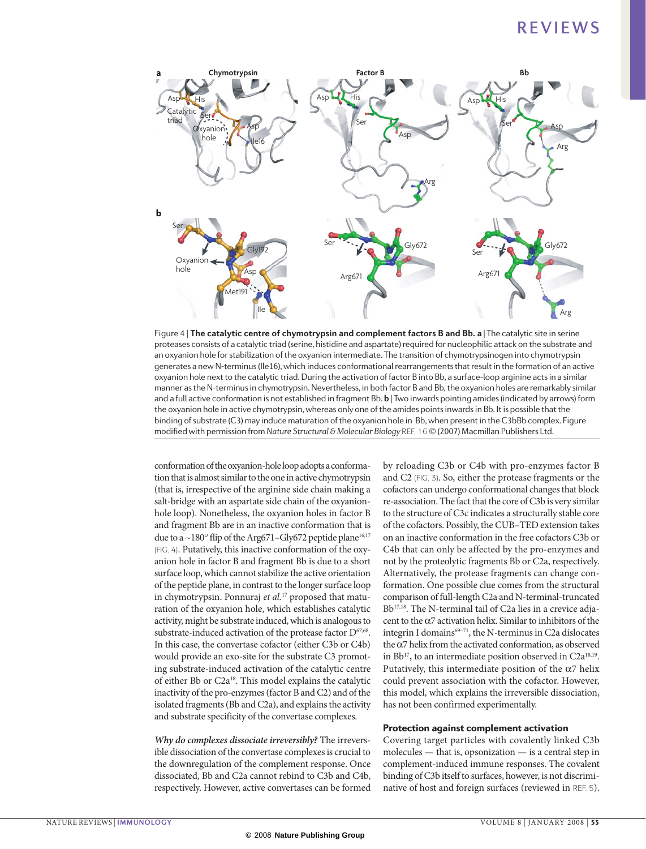

.<br>an oxyanion hole for stabilization of the oxyanion intermediate. The transition of chymotrypsinogen into chymotrypsin Figure 4 | **The catalytic centre of chymotrypsin and complement factors B and Bb. a** | The catalytic site in serine proteases consists of a catalytic triad (serine, histidine and aspartate) required for nucleophilic attack on the substrate and generates a new N‑terminus (Ile16), which induces conformational rearrangements that result in the formation of an active oxyanion hole next to the catalytic triad. During the activation of factor B into Bb, a surface-loop arginine acts in a similar manner as the N‑terminus in chymotrypsin. Nevertheless, in both factor B and Bb, the oxyanion holes are remarkably similar and a full active conformation is not established in fragment Bb. **b** | Two inwards pointing amides (indicated by arrows) form the oxyanion hole in active chymotrypsin, whereas only one of the amides points inwards in Bb. It is possible that the binding of substrate (C3) may induce maturation of the oxyanion hole in Bb, when present in the C3bBb complex. Figure modified with permission from *Nature Structural & Molecular Biology REF.* 16 © (2007) Macmillan Publishers Ltd.

conformation of the oxyanion-hole loop adopts a conformation that is almost similar to the one in active chymotrypsin (that is, irrespective of the arginine side chain making a salt-bridge with an aspartate side chain of the oxyanionhole loop). Nonetheless, the oxyanion holes in factor B and fragment Bb are in an inactive conformation that is due to a  $\sim$ 180 $^{\circ}$  flip of the Arg671–Gly672 peptide plane<sup>16,17</sup> (FIG. 4). Putatively, this inactive conformation of the oxyanion hole in factor B and fragment Bb is due to a short surface loop, which cannot stabilize the active orientation of the peptide plane, in contrast to the longer surface loop in chymotrypsin. Ponnuraj *et al.*17 proposed that maturation of the oxyanion hole, which establishes catalytic activity, might be substrate induced, which is analogous to substrate-induced activation of the protease factor D<sup>67,68</sup>. In this case, the convertase cofactor (either C3b or C4b) would provide an exo-site for the substrate C3 promoting substrate-induced activation of the catalytic centre of either Bb or C2a18. This model explains the catalytic inactivity of the pro-enzymes (factor B and C2) and of the isolated fragments (Bb and C2a), and explains the activity and substrate specificity of the convertase complexes.

*Why do complexes dissociate irreversibly?* The irreversible dissociation of the convertase complexes is crucial to the downregulation of the complement response. Once dissociated, Bb and C2a cannot rebind to C3b and C4b, respectively. However, active convertases can be formed by reloading C3b or C4b with pro-enzymes factor B and C2 (FIG. 3). So, either the protease fragments or the cofactors can undergo conformational changes that block re-association. The fact that the core of C3b is very similar to the structure of C3c indicates a structurally stable core of the cofactors. Possibly, the CUB–TED extension takes on an inactive conformation in the free cofactors C3b or C4b that can only be affected by the pro-enzymes and not by the proteolytic fragments Bb or C2a, respectively. Alternatively, the protease fragments can change conformation. One possible clue comes from the structural comparison of full-length C2a and N‑terminal-truncated Bb<sup>17,18</sup>. The N-terminal tail of C2a lies in a crevice adjacent to the  $\alpha$ 7 activation helix. Similar to inhibitors of the integrin I domains<sup>69-71</sup>, the N-terminus in C2a dislocates the α7 helix from the activated conformation, as observed in Bb<sup>17</sup>, to an intermediate position observed in C2a<sup>18,19</sup>. Putatively, this intermediate position of the  $\alpha$ 7 helix could prevent association with the cofactor. However, this model, which explains the irreversible dissociation, has not been confirmed experimentally.

### Protection against complement activation

Covering target particles with covalently linked C3b molecules — that is, opsonization — is a central step in complement-induced immune responses. The covalent binding of C3b itself to surfaces, however, is not discriminative of host and foreign surfaces (reviewed in Ref. 5).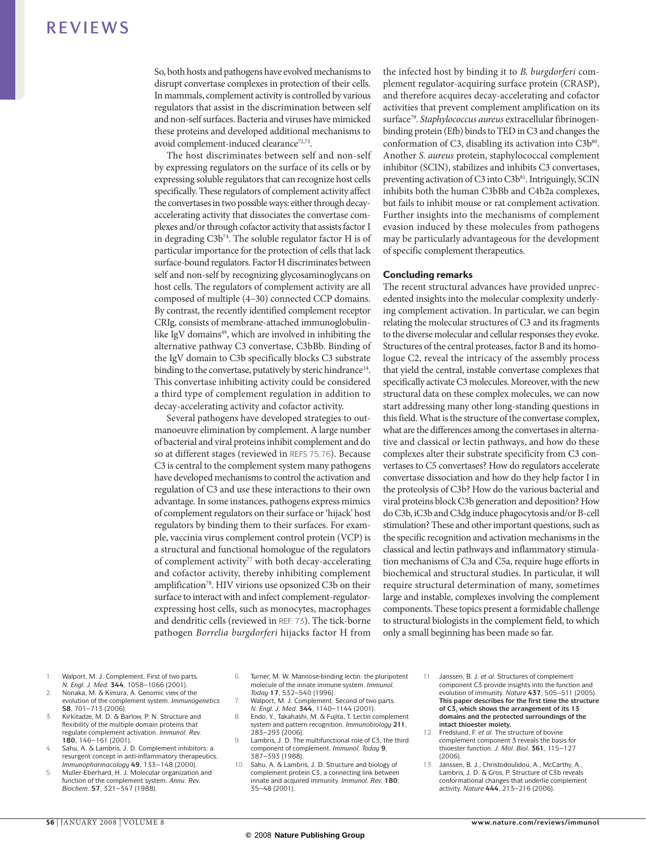So, both hosts and pathogens have evolved mechanisms to disrupt convertase complexes in protection of their cells. In mammals, complement activity is controlled by various regulators that assist in the discrimination between self and non-self surfaces. Bacteria and viruses have mimicked these proteins and developed additional mechanisms to avoid complement-induced clearance<sup>72,73</sup>.

The host discriminates between self and non-self by expressing regulators on the surface of its cells or by expressing soluble regulators that can recognize host cells specifically. These regulators of complement activity affect the convertases in two possible ways: either through decayaccelerating activity that dissociates the convertase complexes and/or through cofactor activity that assists factor I in degrading C3b<sup>74</sup>. The soluble regulator factor H is of particular importance for the protection of cells that lack surface-bound regulators. Factor H discriminates between self and non-self by recognizing glycosaminoglycans on host cells. The regulators of complement activity are all composed of multiple (4–30) connected CCP domains. By contrast, the recently identified complement receptor CRIg, consists of membrane-attached immunoglobulinlike IgV domains<sup>49</sup>, which are involved in inhibiting the alternative pathway C3 convertase, C3bBb. Binding of the IgV domain to C3b specifically blocks C3 substrate binding to the convertase, putatively by steric hindrance<sup>14</sup>. This convertase inhibiting activity could be considered a third type of complement regulation in addition to decay-accelerating activity and cofactor activity.

Several pathogens have developed strategies to outmanoeuvre elimination by complement. A large number of bacterial and viral proteins inhibit complement and do so at different stages (reviewed in REFS 75,76). Because C3 is central to the complement system many pathogens have developed mechanisms to control the activation and regulation of C3 and use these interactions to their own advantage. In some instances, pathogens express mimics of complement regulators on their surface or 'hijack' host regulators by binding them to their surfaces. For example, vaccinia virus complement control protein (VCP) is a structural and functional homologue of the regulators of complement activity<sup>77</sup> with both decay-accelerating and cofactor activity, thereby inhibiting complement amplification<sup>78</sup>. HIV virions use opsonized C3b on their surface to interact with and infect complement-regulatorexpressing host cells, such as monocytes, macrophages and dendritic cells (reviewed in Ref. 73). The tick-borne pathogen *Borrelia burgdorferi* hijacks factor H from

the infected host by binding it to *B. burgdorferi* complement regulator-acquiring surface protein (CRASP), and therefore acquires decay-accelerating and cofactor activities that prevent complement amplification on its surface79. *Staphylococcus aureus* extracellular fibrinogenbinding protein (Efb) binds to TED in C3 and changes the conformation of C3, disabling its activation into  $C3b^{80}$ . Another *S. aureus* protein, staphylococcal complement inhibitor (SCIN), stabilizes and inhibits C3 convertases, preventing activation of C3 into C3b<sup>81</sup>. Intriguingly, SCIN inhibits both the human C3bBb and C4b2a complexes, but fails to inhibit mouse or rat complement activation. Further insights into the mechanisms of complement evasion induced by these molecules from pathogens may be particularly advantageous for the development of specific complement therapeutics.

#### Concluding remarks

The recent structural advances have provided unprecedented insights into the molecular complexity underlying complement activation. In particular, we can begin relating the molecular structures of C3 and its fragments to the diverse molecular and cellular responses they evoke. Structures of the central proteases, factor B and its homologue C2, reveal the intricacy of the assembly process that yield the central, instable convertase complexes that specifically activate C3 molecules. Moreover, with the new structural data on these complex molecules, we can now start addressing many other long-standing questions in this field. What is the structure of the convertase complex, what are the differences among the convertases in alternative and classical or lectin pathways, and how do these complexes alter their substrate specificity from C3 convertases to C5 convertases? How do regulators accelerate convertase dissociation and how do they help factor I in the proteolysis of C3b? How do the various bacterial and viral proteins block C3b generation and deposition? How do C3b, iC3b and C3dg induce phagocytosis and/or B-cell stimulation? These and other important questions, such as the specific recognition and activation mechanisms in the classical and lectin pathways and inflammatory stimulation mechanisms of C3a and C5a, require huge efforts in biochemical and structural studies. In particular, it will require structural determination of many, sometimes large and instable, complexes involving the complement components. These topics present a formidable challenge to structural biologists in the complement field, to which only a small beginning has been made so far.

- 1. Walport, M. J. Complement. First of two parts. *N. Engl. J. Med.* **344**, 1058–1066 (2001).
- 2. Nonaka, M. & Kimura, A. Genomic view of the evolution of the complement system. *Immunogenetics* **58**, 701–713 (2006).
- Kirkitadze, M. D. & Barlow, P. N. Structure and flexibility of the multiple domain proteins that regulate complement activation. *Immunol. Rev.* **180**, 146–161 (2001).
- 4. Sahu, A. & Lambris, J. D. Complement inhibitors: a resurgent concept in anti-inflammatory therapeutics. *Immunopharmacology* **49**, 133–148 (2000).
- 5. Muller-Eberhard, H. J. Molecular organization and function of the complement system. *Annu. Rev. Biochem.* **57**, 321–347 (1988).
- 6. Turner, M. W. Mannose-binding lectin: the pluripotent molecule of the innate immune system. *Immunol. Today* **17**, 532–540 (1996).
- 7. Walport, M. J. Complement. Second of two parts. *N. Engl. J. Med.* **344**, 1140–1144 (2001).
- 8. Endo, Y., Takahashi, M. & Fujita, T. Lectin complement system and pattern recognition. *Immunobiology* **211**, 283–293 (2006).
- Lambris, J. D. The multifunctional role of C3, the third component of complement. *Immunol. Today* **9**, 387–393 (1988).
- Sahu, A. & Lambris, J. D. Structure and biology of complement protein C3, a connecting link between innate and acquired immunity. *Immunol. Rev.* **180**, 35–48 (2001).
- 11. Janssen, B. J. *et al.* Structures of complement component C3 provide insights into the function and evolution of immunity. *Nature* **437**, 505–511 (2005). **This paper describes for the first time the structure of C3, which shows the arrangement of its 13 domains and the protected surroundings of the intact thioester moiety.**
- 12. Fredslund, F. *et al.* The structure of bovine complement component 3 reveals the basis for thioester function. *J. Mol. Biol.* **361**, 115–127 (2006).
- 13. Janssen, B. J., Christodoulidou, A., McCarthy, A., Lambris, J. D. & Gros, P. Structure of C3b reveals conformational changes that underlie complement activity. *Nature* **444**, 213–216 (2006).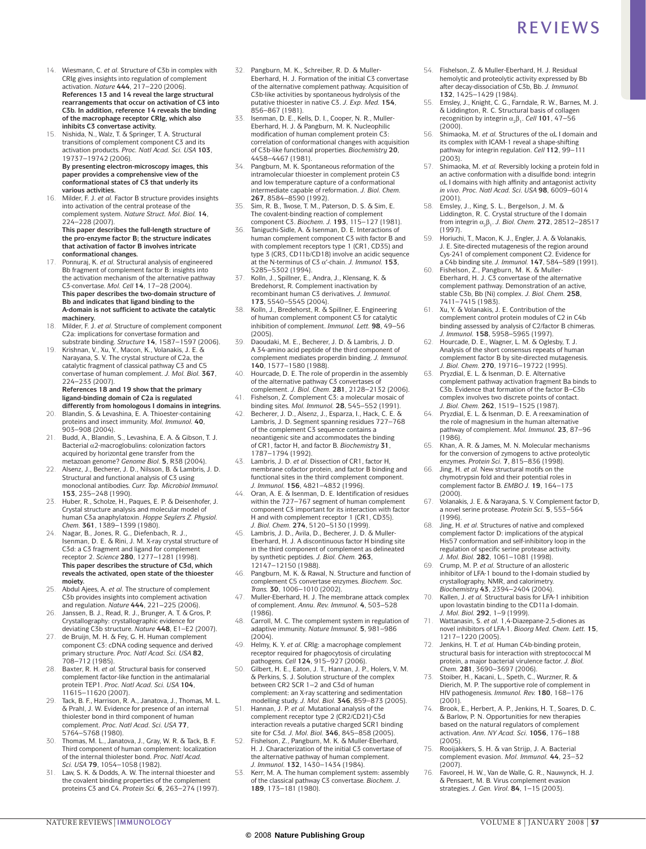- 14. Wiesmann, C. *et al.* Structure of C3b in complex with CRIg gives insights into regulation of complement activation. *Nature* **444**, 217–220 (2006). **References 13 and 14 reveal the large structural rearrangements that occur on activation of C3 into C3b. In addition, reference 14 reveals the binding of the macrophage receptor CRIg, which also inhibits C3 convertase activity.**
- 15. Nishida, N., Walz, T. & Springer, T. A. Structural transitions of complement component C3 and its activation products. *Proc. Natl Acad. Sci. USA* **103**, 19737–19742 (2006). **By presenting electron-microscopy images, this paper provides a comprehensive view of the conformational states of C3 that underly its**
- **various activities.** 16. Milder, F. J. *et al.* Factor B structure provides insights into activation of the central protease of the complement system. *Nature Struct. Mol. Biol.* **14**, 224–228 (2007). **This paper describes the full-length structure of**

**the pro-enzyme factor B; the structure indicates that activation of factor B involves intricate conformational changes.**

- 17. Ponnuraj, K. *et al.* Structural analysis of engineered Bb fragment of complement factor B: insights into the activation mechanism of the alternative pathway C3-convertase. *Mol. Cell* **14**, 17–28 (2004). **This paper describes the two-domain structure of Bb and indicates that ligand binding to the A-domain is not sufficient to activate the catalytic machinery.**
- 18. Milder, F. J. *et al.* Structure of complement component C2a: implications for convertase formation and substrate binding. *Structure* **14**, 1587–1597 (2006).
- 19. Krishnan, V., Xu, Y., Macon, K., Volanakis, J. E. & Narayana, S. V. The crystal structure of C2a, the catalytic fragment of classical pathway C3 and C5 convertase of human complement. *J. Mol. Biol.* **367**, 224–233 (2007). **References 18 and 19 show that the primary**

**ligand-binding domain of C2a is regulated differently from homologous I domains in integrins.**

- 20. Blandin, S. & Levashina, E. A. Thioester-containing proteins and insect immunity. *Mol. Immunol.* **40**, 903–908 (2004).
- 21. Budd, A., Blandin, S., Levashina, E. A. & Gibson, T. J. Bacterial α2-macroglobulins: colonization factors acquired by horizontal gene transfer from the metazoan genome? *Genome Biol.* **5**, R38 (2004).
- 22. Alsenz, J., Becherer, J. D., Nilsson, B. & Lambris, J. D. Structural and functional analysis of C3 using monoclonal antibodies. *Curr. Top. Microbiol Immunol.* **153**, 235–248 (1990).
- 23. Huber, R., Scholze, H., Paques, E. P. & Deisenhofer, J. Crystal structure analysis and molecular model of human C3a anaphylatoxin. *Hoppe Seylers Z. Physiol. Chem.* **361**, 1389–1399 (1980).
- 24. Nagar, B., Jones, R. G., Diefenbach, R. J., Isenman, D. E. & Rini, J. M. X-ray crystal structure of C3d: a C3 fragment and ligand for complement receptor 2. *Science* **280**, 1277–1281 (1998). **This paper describes the structure of C3d, which reveals the activated, open state of the thioester moiety.**
- 25. Abdul Ajees, A. *et al.* The structure of complement C3b provides insights into complement activation and regulation. *Nature* **444**, 221–225 (2006).
- 26. Janssen, B. J., Read, R. J., Brunger, A. T. & Gros, P. Crystallography: crystallographic evidence for deviating C3b structure. *Nature* **448**, E1–E2 (2007).
- 27. de Bruijn, M. H. & Fey, G. H. Human complement component C3: cDNA coding sequence and derived primary structure. *Proc. Natl Acad. Sci. USA* **82**, 708–712 (1985).
- 28. Baxter, R. H. *et al.* Structural basis for conserved complement factor-like function in the antimalarial protein TEP1. *Proc. Natl Acad. Sci. USA* **104**, 11615–11620 (2007).
- 29. Tack, B. F., Harrison, R. A., Janatova, J., Thomas, M. L. & Prahl, J. W. Evidence for presence of an internal thiolester bond in third component of human complement. *Proc. Natl Acad. Sci. USA* **77**, 5764–5768 (1980).
- 30. Thomas, M. L., Janatova, J., Gray, W. R. & Tack, B. F. Third component of human complement: localization of the internal thiolester bond. *Proc. Natl Acad. Sci. USA* **79**, 1054–1058 (1982).
- Law, S. K. & Dodds, A. W. The internal thioester and the covalent binding properties of the complement proteins C3 and C4. *Protein Sci.* **6**, 263–274 (1997).
- Pangburn, M. K., Schreiber, R. D. & Muller-Eberhard, H. J. Formation of the initial C3 convertase of the alternative complement pathway. Acquisition of C3b-like activities by spontaneous hydrolysis of the putative thioester in native C3. *J. Exp. Med.* **154**, 856–867 (1981).
- 33. Isenman, D. E., Kells, D. I., Cooper, N. R., Muller-Eberhard, H. J. & Pangburn, M. K. Nucleophilic modification of human complement protein C3: correlation of conformational changes with acquisition of C3b-like functional properties. *Biochemistry* **20**, 4458–4467 (1981).
- 34. Pangburn, M. K. Spontaneous reformation of the intramolecular thioester in complement protein C3 and low temperature capture of a conformational intermediate capable of reformation. *J. Biol. Chem.* **267**, 8584–8590 (1992).
- Sim, R. B., Twose, T. M., Paterson, D. S. & Sim, E. The covalent-binding reaction of complement
- component C3. *Biochem. J.* **193**, 115–127 (1981). 36. Taniguchi-Sidle, A. & Isenman, D. E. Interactions of human complement component C3 with factor B and with complement receptors type 1 (CR1, CD35) and type 3 (CR3, CD11b/CD18) involve an acidic sequence at the N-terminus of C3 α′-chain. *J. Immunol.* **153**, 5285–5302 (1994).
- 37. Kolln, J., Spillner, E., Andra, J., Klensang, K. & Bredehorst, R. Complement inactivation by recombinant human C3 derivatives. *J. Immunol.* **173**, 5540–5545 (2004).
- 38. Kolln, J., Bredehorst, R. & Spillner, E. Engineering of human complement component C3 for catalytic inhibition of complement. *Immunol. Lett.* **98**, 49–56 (2005).
- 39. Daoudaki, M. E., Becherer, J. D. & Lambris, J. D. A 34-amino acid peptide of the third component of complement mediates properdin binding. *J. Immunol.* **140**, 1577–1580 (1988).
- 40. Hourcade, D. E. The role of properdin in the assembly of the alternative pathway C3 convertases of complement. *J. Biol. Chem.* **281**, 2128–2132 (2006).
- 41. Fishelson, Z. Complement C3: a molecular mosaic of binding sites. *Mol. Immunol.* **28**, 545–552 (1991).
- 42. Becherer, J. D., Alsenz, J., Esparza, I., Hack, C. E. & Lambris, J. D. Segment spanning residues 727–768 of the complement C3 sequence contains a neoantigenic site and accommodates the binding of CR1, factor H, and factor B. *Biochemistry* **31**, 1787–1794 (1992).
- 43. Lambris, J. D. *et al.* Dissection of CR1, factor H, membrane cofactor protein, and factor B binding and functional sites in the third complement component. *J. Immunol.* **156**, 4821–4832 (1996).
- 44. Oran, A. E. & Isenman, D. E. Identification of residues within the 727–767 segment of human complement component C3 important for its interaction with factor H and with complement receptor 1 (CR1, CD35). *J. Biol. Chem.* **274**, 5120–5130 (1999).
- 45. Lambris, J. D., Avila, D., Becherer, J. D. & Muller-Eberhard, H. J. A discontinuous factor H binding site in the third component of complement as delineated by synthetic peptides. *J. Biol. Chem.* **263**, 12147–12150 (1988).
- 46. Pangburn, M. K. & Rawal, N. Structure and function of complement C5 convertase enzymes. *Biochem. Soc. Trans.* **30**, 1006–1010 (2002).
- Muller-Eberhard, H. J. The membrane attack complex of complement. *Annu. Rev. Immunol.* **4**, 503–528 (1986).
- 48. Carroll, M. C. The complement system in regulation of adaptive immunity. *Nature Immunol.* **5**, 981–986  $(2004)$ .
- 49. Helmy, K. Y. *et al.* CRIg: a macrophage complement receptor required for phagocytosis of circulating pathogens. *Cell* **124**, 915–927 (2006).
- 50. Gilbert, H. E., Eaton, J. T., Hannan, J. P., Holers, V. M. & Perkins, S. J. Solution structure of the complex between CR2 SCR 1–2 and C3d of human complement: an X-ray scattering and sedimentation modelling study. *J. Mol. Biol.* **346**, 859–873 (2005).
- 51. Hannan, J. P. *et al.* Mutational analysis of the complement receptor type 2 (CR2/CD21)-C3d interaction reveals a putative charged SCR1 binding site for C3d. *J. Mol. Biol.* **346**, 845–858 (2005).
- Fishelson, Z., Pangburn, M. K. & Muller-Eberhard, H. J. Characterization of the initial C3 convertase of the alternative pathway of human complement. *J. Immunol.* **132**, 1430–1434 (1984).
- 53. Kerr, M. A. The human complement system: assembly of the classical pathway C3 convertase. *Biochem. J*. **189**, 173–181 (1980).
- 54. Fishelson, Z. & Muller-Eberhard, H. J. Residual hemolytic and proteolytic activity expressed by Bb after decay-dissociation of C3b, Bb. *J. Immunol.* **132**, 1425–1429 (1984).
- 55. Emsley, J., Knight, C. G., Farndale, R. W., Barnes, M. J. & Liddington, R. C. Structural basis of collagen recognition by integrin  $\alpha_2\beta_1$ . *Cell* **101**, 47–56  $(2000)$ .
- 56. Shimaoka, M. *et al.* Structures of the αL I domain and its complex with ICAM-1 reveal a shape-shifting pathway for integrin regulation. *Cell* **112**, 99–111 .<br>(2003)
- 57. Shimaoka, M. *et al.* Reversibly locking a protein fold in an active conformation with a disulfide bond: integrin αL I domains with high affinity and antagonist activity *in vivo*. *Proc. Natl Acad. Sci. USA* **98**, 6009–6014 (2001).
- 58. Emsley, J., King, S. L., Bergelson, J. M. & Liddington, R. C. Crystal structure of the I domain from integrin  $α_2β_1$ . *J. Biol. Chem.* **272**, 28512–28517 (1997).
- 59. Horiuchi, T., Macon, K. J., Engler, J. A. & Volanakis, J. E. Site-directed mutagenesis of the region around Cys-241 of complement component C2. Evidence for a C4b binding site. *J. Immunol.* **147**, 584–589 (1991).
- 60. Fishelson, Z., Pangburn, M. K. & Muller-Eberhard, H. J. C3 convertase of the alternative complement pathway. Demonstration of an active, stable C3b, Bb (Ni) complex. *J. Biol. Chem.* **258**, 7411–7415 (1983).
- Xu, Y. & Volanakis, J. E. Contribution of the complement control protein modules of C2 in C4b binding assessed by analysis of C2/factor B chimeras. *J. Immunol.* **158**, 5958–5965 (1997).
- 62. Hourcade, D. E., Wagner, L. M. & Oglesby, T. J. Analysis of the short consensus repeats of human complement factor B by site-directed mutagenesis. *J. Biol. Chem.* **270**, 19716–19722 (1995).
- 63. Pryzdial, E. L. & Isenman, D. E. Alternative complement pathway activation fragment Ba binds to C3b. Evidence that formation of the factor B–C3b complex involves two discrete points of contact. *J. Biol. Chem.* **262**, 1519–1525 (1987).
- 64. Pryzdial, E. L. & Isenman, D. E. A reexamination of the role of magnesium in the human alternative pathway of complement. *Mol. Immunol.* **23**, 87–96 (1986).
- 65. Khan, A. R. & James, M. N. Molecular mechanisms for the conversion of zymogens to active proteolytic enzymes. *Protein Sci.* **7**, 815–836 (1998).
- 66. Jing, H. *et al.* New structural motifs on the chymotrypsin fold and their potential roles in complement factor B. *EMBO J.* **19**, 164–173 (2000).
- 67. Volanakis, J. E. & Narayana, S. V. Complement factor D, a novel serine protease. *Protein Sci.* **5**, 553–564 (1996).
- 68. Jing, H. *et al.* Structures of native and complexed complement factor D: implications of the atypical His57 conformation and self-inhibitory loop in the regulation of specific serine protease activity. *J. Mol. Biol.* **282**, 1061–1081 (1998).
- 69. Crump, M. P. *et al.* Structure of an allosteric inhibitor of LFA-1 bound to the I-domain studied by crystallography, NMR, and calorimetry. *Biochemistry* **43**, 2394–2404 (2004).
- Kallen, J. *et al.* Structural basis for LFA-1 inhibition upon lovastatin binding to the CD11a I-domain. *J. Mol. Biol.* **292**, 1–9 (1999).
- 71. Wattanasin, S. *et al.* 1,4-Diazepane-2,5-diones as novel inhibitors of LFA-1. *Bioorg Med. Chem. Lett.* **15**, 1217–1220 (2005).
- 72. Jenkins, H. T. *et al.* Human C4b-binding protein, structural basis for interaction with streptococcal M protein, a major bacterial virulence factor. *J. Biol. Chem.* **281**, 3690–3697 (2006). 73. Stoiber, H., Kacani, L., Speth, C., Wurzner, R. &
- Dierich, M. P. The supportive role of complement in HIV pathogenesis. *Immunol. Rev.* **180**, 168–176 (2001).
- 74. Brook, E., Herbert, A. P., Jenkins, H. T., Soares, D. C. & Barlow, P. N. Opportunities for new therapies based on the natural regulators of complement activation. *Ann. NY Acad. Sci.* **1056**, 176–188  $(2005)$
- 75. Rooijakkers, S. H. & van Strijp, J. A. Bacterial complement evasion. *Mol. Immunol.* **44**, 23–32 (2007).
- 76. Favoreel, H. W., Van de Walle, G. R., Nauwynck, H. J. & Pensaert, M. B. Virus complement evasion strategies. *J. Gen. Virol.* **84**, 1–15 (2003).